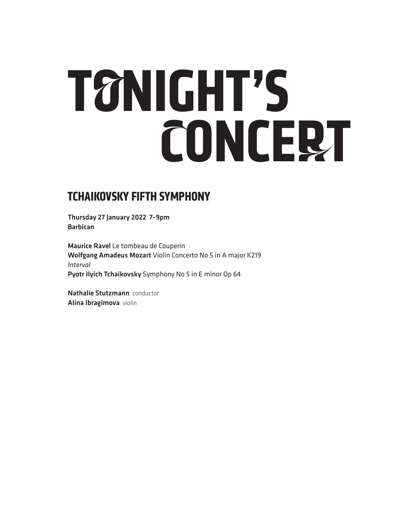# **TONIGHT'S CONCERT**

## **TCHAIKOVSKY FIFTH SYMPHONY**

Thursday 27 January 2022 7–9pm Barbican

Maurice Ravel Le tombeau de Couperin Wolfgang Amadeus Mozart Violin Concerto No 5 in A major K219 *Interval* Pyotr Ilyich Tchaikovsky Symphony No 5 in E minor Op 64

Nathalie Stutzmann conductor Alina Ibragimova violin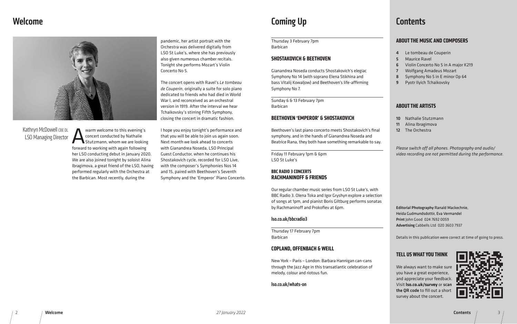

pandemic, her artist portrait with the Orchestra was delivered digitally from LSO St Luke's, where she has previously also given numerous chamber recitals. Tonight she performs Mozart's Violin Concerto No 5.

The concert opens with Ravel's *Le tombeau de Couperin*, originally a suite for solo piano dedicated to friends who had died in World War I, and reconceived as an orchestral version in 1919. After the interval we hear Tchaikovsky's stirring Fifth Symphony, closing the concert in dramatic fashion.

Warm welcome to this evening's<br>
concert conducted by Nathalie<br>
Stutzmann, whom we are looking<br>
forward to working with again following concert conducted by Nathalie Stutzmann, whom we are looking forward to working with again following her LSO conducting debut in January 2020. We are also joined tonight by soloist Alina Ibragimova, a great friend of the LSO, having performed regularly with the Orchestra at the Barbican. Most recently, during the

Kathryn McDowell CBE DL LSO Managing Director

I hope you enjoy tonight's performance and that you will be able to join us again soon. Next month we look ahead to concerts with Gianandrea Noseda, LSO Principal Guest Conductor, when he continues his Shostakovich cycle, recorded for LSO Live, with the composer's Symphonies Nos 14 and 15, paired with Beethoven's Seventh Symphony and the 'Emperor' Piano Concerto.

## Welcome **Coming Up** Coming Up **Coming Coming Coming Coming Coming Com**

- e tombeau de Couperin
- Maurice Ravel
- 6 Violin Concerto No 5 in A major K219
- 7 Wolfgang Amadeus Mozart
- 8 Symphony No 5 in E minor Op 64
- 9 Pyotr Ilyich Tchaikovsky

10 Nathalie Stutzmann Alina Ibragimova The Orchestra

s in this publication were correct at time of going to press.

## **US WHAT YOU THINK**

*Please switch off all phones. Photography and audio/ recording are not permitted during the performance.* 

ial Photography Ranald Mackechnie, Gudmundsdottir, Eva Vermandel ohn Good 024 7692 0059 tising Cabbells Ltd 020 3603 7937



### **ABOUT THE MUSIC AND COMPOSERS**

We always want to make sure you have a great experience, and appreciate your feedback. Visit lso.co.uk/survey or scan the QR code to fill out a short survey about the concert.

## **ABOUT THE ARTISTS**

| Thursday 3 February 7pm<br><b>Barbican</b>                                                            | <b>ABOU</b>                   |
|-------------------------------------------------------------------------------------------------------|-------------------------------|
|                                                                                                       | 4<br>L                        |
| <b>SHOSTAKOVICH &amp; BEETHOVEN</b>                                                                   | 5<br>N<br>6                   |
| Gianandrea Noseda conducts Shostakovich's elegiac                                                     | Ι<br>7<br>١                   |
| Symphony No 14 (with soprano Elena Stikhina and                                                       | $\overline{\phantom{a}}$<br>8 |
| bass Vitalij Kowaljow) and Beethoven's life-affirming<br>Symphony No 7.                               | F<br>9                        |
| Sunday 6 & 13 February 7pm                                                                            |                               |
| <b>Barbican</b>                                                                                       | ABOU                          |
| <b>BEETHOVEN 'EMPEROR' &amp; SHOSTAKOVICH</b>                                                         | 10<br>ľ                       |
|                                                                                                       | 11<br>ŀ                       |
| Beethoven's last piano concerto meets Shostakovich's final                                            | 12<br>٦                       |
| symphony, and in the hands of Gianandrea Noseda and                                                   |                               |
| Beatrice Rana, they both have something remarkable to say.                                            |                               |
| Friday 11 February 1pm & 6pm                                                                          | Pleasi<br>video               |
| LSO St Luke's                                                                                         |                               |
|                                                                                                       |                               |
| <b>BBC RADIO 3 CONCERTS</b><br><b>RACHMANINOFF &amp; FRIENDS</b>                                      |                               |
|                                                                                                       |                               |
| Our regular chamber music series from LSO St Luke's, with                                             |                               |
| BBC Radio 3. Olena Toka and Igor Gryshyn explore a selection                                          |                               |
| of songs at 1pm, and pianist Boris Giltburg performs sonatas<br>by Rachmaninoff and Prokofiev at 6pm. | <b>Editor</b>                 |
|                                                                                                       | Heida                         |
| Iso.co.uk/bbcradio3                                                                                   | Print                         |
|                                                                                                       | Advert                        |
| Thursday 17 February 7pm                                                                              |                               |
| <b>Barbican</b>                                                                                       | Detail:                       |
| <b>COPLAND, OFFENBACH &amp; WEILL</b>                                                                 |                               |
|                                                                                                       | <b>TELL</b>                   |
| New York - Paris - London: Barbara Hannigan can-cans                                                  |                               |
| through the Jazz Age in this transatlantic celebration of                                             | We al                         |

melody, colour and riotous fun.

lso.co.uk/whats-on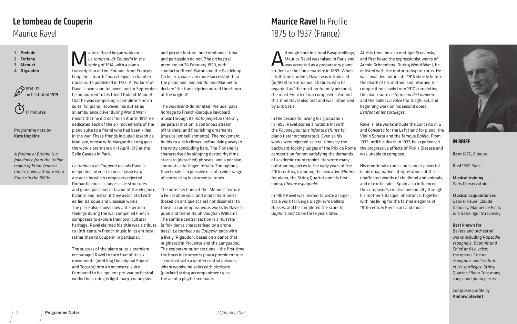

Ithough born in a rural Basque village, Maurice Ravel was raised in Paris and was accepted as a preparatory piano student at the Conservatoire in 1889. When a full-time student, Ravel was introduced (in 1893) to Emmanuel Chabrier, who he regarded as 'the most profoundly personal, the most French of our composers'. Around this time Ravel also met and was influenced by Erik Satie.

In the decade following his graduation in 1895, Ravel scored a notable hit with the *Pavane pour une infante défunte* for piano (later orchestrated). Even so his works were rejected several times by the backward-looking judges of the Prix de Rome competition for not satisfying the demands of academic counterpoint. He wrote many outstanding pieces in the early years of the 20th century, including the evocative *Miroirs*  for piano, the String Quartet and his first opera, *L'heure espagnole*.

In 1909 Ravel was invited to write a largescale work for Serge Diaghilev's Ballets Russes, and he completed the score to *Daphnis and Chloé* three years later.

At this time, he also met Igor Stravinsky and first heard the expressionist works of Arnold Schoenberg. During World War I, he enlisted with the motor transport corps. He was invalided out in late-1916 shortly before the death of his mother, and returned to composition slowly from 1917, completing the piano suite *Le tombeau de Couperin*  and the ballet *La valse* (for Diaghilev), and beginning work on his second opera, *L'enfant et les sortilèges*.

Ravel's late works include the Concerto in G and Concerto for the Left Hand for piano, the Violin Sonata and the famous *Boléro*. From 1932 until his death in 1937, he experienced the progressive effects of Pick's Disease and was unable to compose.

aurice Ravel began work on<br>Le tombeau de Couperin in t<br>spring of 1914, with a piano<br>transcription of the 'Eorlane' from Ex *Le tombeau de Couperin* in the spring of 1914, with a piano transcription of the 'Forlane' from François Couperin's fourth *Concert royal*, a chamber music suite published in 1722. A 'Forlane' of Ravel's own soon followed, and in September he announced to his friend Roland-Manuel that he was composing a complete 'French suite' for piano. However, his duties as an ambulance driver during World War I meant that he did not finish it until 1917. He dedicated each of the six movements of the piano suite to a friend who had been killed in the war. These friends included Joseph de Marliave, whose wife Marguerite Long gave the work's premiere on 11 April 1919 at the Salle Gaveau in Paris.

> His emotional expression is most powerful in his imaginative interpretations of the unaffected worlds of childhood and animals, and of exotic tales. Spain also influenced the composer's creative personality through his mother's Basque inheritance, together with his liking for the formal elegance of 18th-century French art and music.

### **IN BRIEF**

Born 1875, Ciboure

Died 1937, Paris

Musical training Paris Conservatoire

Musical acquaintances Gabriel Fauré, Claude Debussy, Manuel de Falla, Erik Satie, Igor Stravinsky

#### Best known for

Ballets and orchestral works including *Rapsodie espagnole*, *Daphnis and Chloé* and *La valse*; the operas *L'heure espagnole* and *L'enfant et les sortilèges*; String Quartet; Piano Trio; many songs and piano pieces

Composer profile by Andrew Stewart

# 1875 to 1937 (France) Maurice Ravel In Profile

*Le tombeau de Couperin* reveals Ravel's deepening interest in neo-Classicism, a stance by which composers rejected Romantic music's large-scale structures and grand passions in favour of the elegance, balance and restraint they associated with earlier Baroque and Classical works. The piece also shows how anti-German feelings during the war compelled French composers to explore their own cultural heritage. Ravel claimed his title was a tribute to 18th-century French music in its entirety, rather than to Couperin in particular.

The success of the piano suite's premiere encouraged Ravel to turn four of its six movements (omitting the original Fugue and Toccata) into an orchestral suite. Compared to his opulent pre-war orchestral works the scoring is light: harp, cor anglais

and piccolo feature, but trombones, tuba and percussion do not. The orchestral premiere on 28 February 1920, with conductor Rhené-Baton and the Pasdeloup Orchestra, was even more successful than the piano one, and led Roland-Manuel to declare 'the transcription outdid the charm of the original'.

The woodwind-dominated 'Prelude' pays homage to French-Baroque keyboard music through its *moto perpetuo* (literally perpetual motion, a continous stream of) triplets, and flourishing ornaments, (musical embellishments). The movement builds to a rich climax, before dying away in the witty concluding bars. The 'Forlane' is characterised by skipping dotted rhythms, staccato (detached) phrases, and a pensive, chromatically-tinged refrain. Throughout, Ravel makes expressive use of a wide range of contrasting instrumental tones.

The outer sections of the 'Menuet' feature a lyrical oboe solo, and modal harmonies (based on antique scales) not dissimilar to those in contemporaneous works by Ravel's pupil and friend Ralph Vaughan Williams. The sombre central section is a *musette* (a folk dance characterised by a drone bass). *Le tombeau de Couperin* ends with a lively 'Rigaudon', based on a dance that originated in Provence and the Languedoc. The exuberant outer sections – the first time the brass instruments play a prominent role – contrast with a gentler central episode, where woodwind solos with pizzicato (plucked) string accompaniment give the air of a playful serenade.

- 1 Prelude
- 2 Forlane
- 3 Menuet

 $\mathbb{C}$ 

4 Rigaudon



17 minutes

Programme note by Kate Hopkins

*A forlane or furlana is a folk dance from the Italian region of Friuli Venezia Giulia. It was introduced to France in the 1690s.* 

## Maurice Ravel Le tombeau de Couperin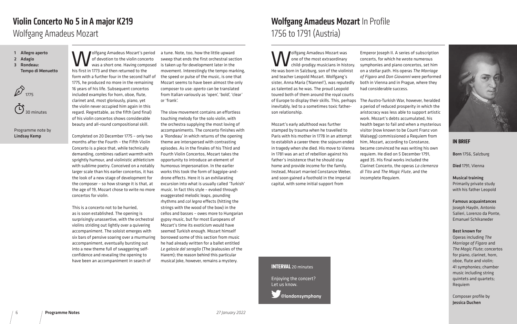Wolfgang Amadeus Mozart's period of devotion to the violin concerto was a short one. Having composed his first in 1773 and then returned to the form with a further four in the second half of 1775, he produced no more in the remaining 16 years of his life. Subsequent concertos included examples for horn, oboe, flute, clarinet and, most gloriously, piano, yet the violin never occupied him again in this regard. Regrettable, as the fifth (and final) of his violin concertos shows considerable beauty and all-round compositional skill.

Completed on 20 December 1775 – only two months after the Fourth – the Fifth Violin Concerto is a piece that, while technically demanding, combines radiant warmth with sprightly humour, and violinistic athleticism with sublime poetry. Conceived on a notably larger scale than his earlier concertos, it has the look of a new stage of development for the composer – so how strange it is that, at the age of 19, Mozart chose to write no more concertos for violin.

This is a concerto not to be hurried, as is soon established. The opening is surprisingly unassertive, with the orchestral violins striding out lightly over a quivering accompaniment. The soloist emerges with six bars of pensive soaring over a murmuring accompaniment, eventually bursting out into a new theme full of swaggering selfconfidence and revealing the opening to have been an accompaniment in search of

a tune. Note, too, how the little upward sweep that ends the first orchestral section is taken up for development later in the movement. Interestingly the tempo marking, the speed or pulse of the music, is one that Mozart seems to have been almost the only composer to use: *aperto* can be translated from Italian variously as 'open', 'bold', 'clear' or 'frank'.

**W**olfgang Amadeus Mozart was<br>
one of the most extraordinary<br>
the was bern in Salzburg, son of the violing one of the most extraordinary child-prodigy musicians in history. He was born in Salzburg, son of the violinist and teacher Leopold Mozart. Wolfgang's sister, Anna Maria ('Nannerl'), was reputedly as talented as he was. The proud Leopold toured both of them around the royal courts of Europe to display their skills. This, perhaps inevitably, led to a sometimes toxic fatherson relationship.

The slow movement contains an effortless touching melody for the solo violin, with the orchestra supplying the most loving of accompaniments. The concerto finishes with a 'Rondeau' in which returns of the opening theme are interspersed with contrasting episodes. As in the finales of his Third and Fourth Violin Concertos, Mozart takes the opportunity to introduce an element of humorous impersonation. In the earlier works this took the form of bagpipe-anddrone effects. Here it is an exhilarating excursion into what is usually called 'Turkish' music. In fact this style – evoked through exaggerated melodic leaps, pounding rhythms and *col legno* effects (hitting the strings with the wood of the bow) in the cellos and basses – owes more to Hungarian gypsy music, but for most Europeans of Mozart's time its exoticism would have seemed Turkish enough. Mozart himself borrowed some of this section from music he had already written for a ballet entitled *Le gelosie del seraglio* (The Jealousies of the Harem); the reason behind this particular musical joke, however, remains a mystery.

- 1 Allegro aperto
- 2 Adagio
- 3 Rondeau:
- Tempo di Menuetto



30 minutes

Programme note by Lindsay Kemp

Wolfgang Amadeus Mozart

# Violin Concerto No 5 in A major K219

Mozart's early adulthood was further stamped by trauma when he travelled to Paris with his mother in 1778 in an attempt to establish a career there: the sojourn ended in tragedy when she died. His move to Vienna in 1781 was an act of rebellion against his father's insistence that he should stay home and provide income for the family. Instead, Mozart married Constanze Weber, and soon gained a foothold in the imperial capital, with some initial support from

Emperor Joseph II. A series of subscription concerts, for which he wrote numerous symphonies and piano concertos, set him on a stellar path. His operas *The Marriage of Figaro* and *Don Giovanni* were performed both in Vienna and in Prague, where they had considerable success.

The Austro-Turkish War, however, heralded a period of reduced prosperity in which the aristocracy was less able to support artistic work. Mozart's debts accumulated, his health began to fail and when a mysterious visitor (now known to be Count Franz von Walsegg) commissioned a Requiem from him, Mozart, according to Constanze, became convinced he was writing his own requiem. He died on 5 December 1791, aged 35. His final works included the Clarinet Concerto, the operas *La clemenza di Tito* and *The Magic Flute*, and the incomplete Requiem.

#### **IN BRIEF**

Born 1756, Salzburg

Died 1791, Vienna

#### Musical training Primarily private study with his father Leopold

Famous acquaintances Joseph Haydn, Antonio Salieri, Lorenzo da Ponte, Emanuel Schikaneder

#### Best known for

Operas including *The Marriage of Figaro* and *The Magic Flute*; concertos for piano, clarinet, horn, oboe, flute and violin; 41 symphonies; chamber music including string quintets and quartets; Requiem

Composer profile by Jessica Duchen

## 1756 to 1791 (Austria) Wolfgang Amadeus Mozart In Profile





@londonsymphony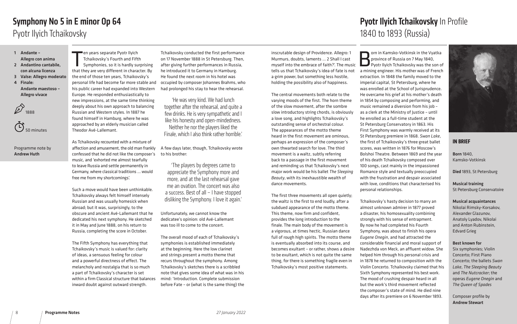**Born in Kamsko-Votkinsk in the Vyatka**<br>**Born in Kamsko-Votkinsk in the Vyatka**<br>Port Ilyich Tchaikovsky was the son of province of Russia on 7 May 1840, Pyotr Ilyich Tchaikovsky was the son of a mining engineer. His mother was of French extraction. In 1848 the family moved to the imperial capital, St Petersburg, where he was enrolled at the School of Jurisprudence. He overcame his grief at his mother's death in 1854 by composing and performing, and music remained a diversion from his job – as a clerk at the Ministry of Justice – until he enrolled as a full-time student at the St Petersburg Conservatory in 1863. His First Symphony was warmly received at its St Petersburg premiere in 1868. *Swan Lake*, the first of Tchaikovsky's three great ballet scores, was written in 1876 for Moscow's Bolshoi Theatre. Between 1869 and the year of his death Tchaikovsky composed over 100 songs, cast mainly in the impassioned Romance style and textually preoccupied with the frustration and despair associated with love, conditions that characterised his personal relationships.

en years separate Pyotr Ilyich<br>Tchaikovsky's Fourth and Fifth<br>Symphonies, so it is hardly surprising<br>that they are very different in character. By en years separate Pyotr Ilyich Tchaikovsky's Fourth and Fifth Symphonies, so it is hardly surprising the end of those ten years, Tchaikovsky's personal life had become far more stable and his public career had expanded into Western Europe. He responded enthusiastically to new impressions, at the same time thinking deeply about his own approach to balancing Russian and Western styles. In 1887 he found himself in Hamburg, where he was approached by an elderly musician called Theodor Avé-Lallemant.

> Tchaikovsky's hasty decision to marry an almost unknown admirer in 1877 proved a disaster, his homosexuality combining strongly with his sense of entrapment. By now he had completed his Fourth Symphony, was about to finish his opera *Eugene Onegin*, and had attracted the considerable financial and moral support of Nadezhda von Meck, an affluent widow. She helped him through his personal crisis and in 1878 he returned to composition with the Violin Concerto. Tchaikovsky claimed that his Sixth Symphony represented his best work. The mood of crushing despair heard in all but the work's third movement reflected the composer's state of mind. He died nine days after its premiere on 6 November 1893.

As Tchaikovsky recounted with a mixture of affection and amusement, the old man frankly confessed that he did not like the composer's to his brother: music, and 'exhorted me almost tearfully to leave Russia and settle permanently in Germany, where classical traditions … would free me from my shortcomings'.

Such a move would have been unthinkable. Tchaikovsky always felt himself intensely Russian and was usually homesick when abroad; but it was, surprisingly, to the obscure and ancient Avé-Lallemant that he dedicated his next symphony. He sketched it in May and June 1888, on his return to Russia, completing the score in October.

The Fifth Symphony has everything that Tchaikovsky's music is valued for: clarity of ideas, a sensuous feeling for colour and a powerful directness of effect. The melancholy and nostalgia that is so much a part of Tchaikovsky's character is set within a firm Classical structure that balances inward doubt against outward strength.

Tchaikovsky conducted the first performance on 17 November 1888 in St Petersburg. Then, after giving further performances in Russia, he introduced it to Germany in Hamburg. He found the next room in his hotel was occupied by composer Johannes Brahms, who had prolonged his stay to hear the rehearsal.

A few days later, though, Tchaikovsky wrote

Unfortunately, we cannot know the dedicatee's opinion: old Avé-Lallemant was too ill to come to the concert.

The overall mood of each of Tchaikovsky's symphonies is established immediately at the beginning. Here the low clarinet and strings present a motto theme that recurs throughout the symphony. Among Tchaikovsky's sketches there is a scribbled note that gives some idea of what was in his mind: 'Introduction. Complete submission before Fate – or (what is the same thing) the

- 1 Andante –
- Allegro con anima 2 Andantino cantabile,
- con alcuna licenza
- 3 Valse: Allegro moderato
- 4 Finale: Andante maestoso – Allegro vivace





#### Programme note by Andrew Huth

# **Pyotr Ilyich Tchaikovsky In Profile**



### **IN BRIEF**

Born 1840, Kamsko-Votkinsk

Died 1893, St Petersburg

Musical training St Petersburg Conservatoire

Musical acquaintances Nikolai Rimsky-Korsakov, Alexander Glazunov, Anatoly Lyadov, Nikolai and Anton Rubinstein, Edvard Grieg

Best known for Six symphonies; Violin Concerto; First Piano Concerto; the ballets *Swan Lake*, *The Sleeping Beauty*  and *The Nutcracker*; the operas *Eugene Onegin* and *The Queen of Spades*

Composer profile by Andrew Stewart

# Symphony No 5 in E minor Op 64 Pyotr Ilyich Tchaikovsky

inscrutable design of Providence. Allegro: 1 Murmurs, doubts, laments … 2 Shall I cast myself into the embrace of faith?'. The music tells us that Tchaikovsky's idea of fate is not a grim power, but something less hostile, holding the possibility also of happiness.

The central movements both relate to the varying moods of the first. The horn theme of the slow movement, after the sombre slow introductory string chords, is obviously a love song, and highlights Tchaikovsky's outstanding sense of orchestral colour. The appearances of the motto theme heard in the first movement are ominous, perhaps an expression of the composer's own thwarted search for love. The third movement is a waltz, subtly referring back to a passage in the first movement and reminding us that Tchaikovsky's next major work would be his ballet *The Sleeping Beauty*, with its inexhaustible wealth of dance movements.

The first three movements all open quietly; the waltz is the first to end loudly, after a subdued appearance of the motto theme. This theme, now firm and confident, provides the long introduction to the finale. The main body of the movement is a vigorous, at times hectic, Russian dance full of rough high spirits. The motto theme is eventually absorbed into its course, and becomes exultant – or rather, shows a desire to be exultant, which is not quite the same thing, for there is something fragile even in Tchaikovsky's most positive statements.

'He was very kind. We had lunch together after the rehearsal, and quite a few drinks. He is very sympathetic and I like his honesty and open-mindedness. Neither he nor the players liked the Finale, which I also think rather horrible.'

'The players by degrees came to appreciate the Symphony more and more, and at the last rehearsal gave me an ovation. The concert was also a success. Best of all – I have stopped disliking the Symphony. I love it again.'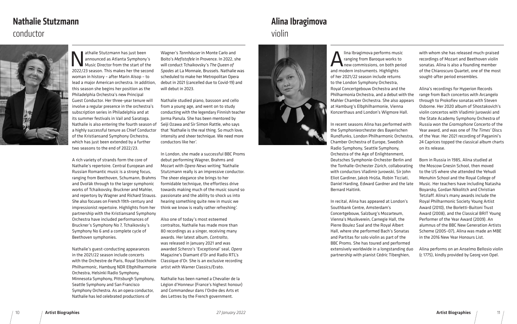lina Ibragimova performs music<br>
ranging from Baroque works to<br>
new commissions, on both peric<br>
and modern instruments Highlights ranging from Baroque works to new commissions, on both period and modern instruments. Highlights of her 2021/22 season include returns to the London Symphony Orchestra, Royal Concertgebouw Orchestra and the Philharmonia Orchestra, and a debut with the Mahler Chamber Orchestra. She also appears at Hamburg's Elbphilharmonie, Vienna Konzerthaus and London's Wigmore Hall. In recent seasons Alina has performed with with whom she has released much-praised recordings of Mozart and Beethoven violin sonatas. Alina is also a founding member of the Chiaroscuro Quartet, one of the most sought-after period ensembles. Alina's recordings for Hyperion Records range from Bach concertos with Arcangelo through to Prokofiev sonatas with Steven Osborne. Her 2020 album of Shostakovich's violin concertos with Vladimir Jurowski and the State Academy Symphony Orchestra of Russia won the *Gramophone* Concerto of the

the Symphonieorchester des Bayerischen Rundfunks, London Philharmonic Orchestra, Chamber Orchestra of Europe, Swedish Radio Symphony, Seattle Symphony, Orchestra of the Age of Enlightenment, Deutsches Symphonie-Orchester Berlin and the Tonhalle-Orchester Zürich, collaborating with conductors Vladimir Jurowski, Sir John Eliot Gardiner, Jakob Hrůša, Robin Ticciati, Daniel Harding, Edward Gardner and the late Bernard Haitink. Year award, and was one of *The Times'* Discs of the Year. Her 2021 recording of Paganini's 24 Caprices topped the classical album charts on its release. Born in Russia in 1985, Alina studied at the Moscow Gnesin School, then moved to the US where she attended the Yehudi Menuhin School and the Royal College of Music. Her teachers have including Natasha Boyarsky, Gordan Nikolitch and Christian

athalie Stutzmann has just been<br>announced as Atlanta Symphony<br>Music Director from the start of the<br>2022/23 season This makes bet the sec announced as Atlanta Symphony's Music Director from the start of the 2022/23 season. This makes her the second woman in history – after Marin Alsop – to lead a major American orchestra. In addition, this season she begins her position as the Philadelphia Orchestra's new Principal Guest Conductor. Her three-year tenure will involve a regular presence in the orchestra's subscription series in Philadelphia and at its summer festivals in Vail and Saratoga. Nathalie is also entering the fourth season of Seiji Ozawa and Sir Simon Rattle, who says a highly successful tenure as Chief Conductor of the Kristiansand Symphony Orchestra, which has just been extended by a further two seasons to the end of 2022/23.

> In recital, Alina has appeared at London's Southbank Centre, Amsterdam's Concertgebouw, Salzburg's Mozarteum, Vienna's Musikverein, Carnegie Hall, the Pierre Boulez Saal and the Royal Albert Hall, where she performed Bach's Sonatas and Partitas for solo violin as part of the BBC Proms. She has toured and performed extensively worldwide in a longstanding duo partnership with pianist Cédric Tiberghien, Tetzlaff. Alina's many awards include the Royal Philharmonic Society Young Artist Award (2010), the Borletti-Buitoni Trust Award (2008), and the Classical BRIT Young Performer of the Year Award (2009). An alumnus of the BBC New Generation Artists Scheme (2005–07), Alina was made an MBE in the 2016 New Year Honours List. Alina performs on an Anselmo Bellosio violin (c 1775), kindly provided by Georg von Opel.

A rich variety of strands form the core of Nathalie's repertoire. Central European and Russian Romantic music is a strong focus, ranging from Beethoven, Schumann, Brahms and Dvořák through to the larger symphonic works of Tchaikovsky, Bruckner and Mahler, and repertory by Wagner and Richard Strauss. She also focuses on French 19th-century and impressionist repertoire. Highlights from her partnership with the Kristiansand Symphony Orchestra have included performances of Bruckner's Symphony No 7, Tchaikovsky's Symphony No 6 and a complete cycle of Beethoven symphonies.

Nathalie's guest-conducting appearances in the 2021/22 season include concerts with the Orchestre de Paris, Royal Stockholm Philharmonic, Hamburg NDR Elbphilharmonie artist with Warner Classics/Erato. Orchestra, Helsinki Radio Symphony, Minnesota Symphony, Pittsburgh Symphony, Seattle Symphony and San Francisco Symphony Orchestra. As an opera conductor, Nathalie has led celebrated productions of

Wagner's *Tannhäuser* in Monte Carlo and Boito's *Mefistofele* in Provence. In 2022, she will conduct Tchaikovsky's *The Queen of Spades* at La Monnaie, Brussels. Nathalie was scheduled to make her Metropolitan Opera debut in 2021 (cancelled due to Covid-19) and will debut in 2023.

Nathalie studied piano, bassoon and cello from a young age, and went on to study conducting with the legendary Finnish teacher Jorma Panula. She has been mentored by that 'Nathalie is the real thing. So much love, intensity and sheer technique. We need more conductors like her'.

In London, she made a successful BBC Proms debut performing Wagner, Brahms and Mozart with *Opera News* writing 'Nathalie Stutzmann really is an impressive conductor. The sheer elegance she brings to her formidable technique, the effortless drive towards making much of the music sound so passionate and the ability to shock us into hearing something quite new in music we think we know is really rather refreshing'.

Also one of today's most esteemed contraltos, Nathalie has made more than 80 recordings as a singer, receiving many awards. Her latest album, *Contralto*, was released in January 2021 and was awarded *Scherzo*'s 'Exceptional' seal, *Opera* Magazine's Diamant d'Or and Radio RTL's Classique d'Or. She is an exclusive recording

Nathalie has been named a Chevalier de la Légion d'Honneur (France's highest honour) and Commandeur dans l'Ordre des Arts et des Lettres by the French government.

## conductor



# Nathalie Stutzmann

## violin Alina Ibragimova